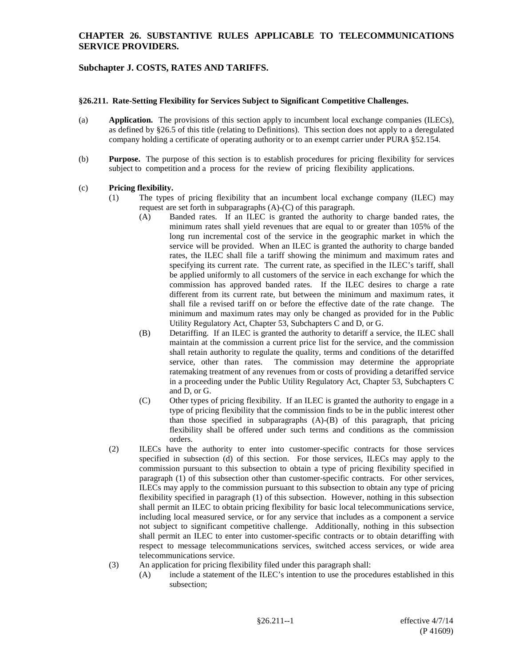## **CHAPTER 26. SUBSTANTIVE RULES APPLICABLE TO TELECOMMUNICATIONS SERVICE PROVIDERS.**

# **Subchapter J. COSTS, RATES AND TARIFFS.**

#### **§26.211. Rate-Setting Flexibility for Services Subject to Significant Competitive Challenges.**

- (a) **Application.** The provisions of this section apply to incumbent local exchange companies (ILECs), as defined by §26.5 of this title (relating to Definitions). This section does not apply to a deregulated company holding a certificate of operating authority or to an exempt carrier under PURA §52.154.
- (b) **Purpose.** The purpose of this section is to establish procedures for pricing flexibility for services subject to competition and a process for the review of pricing flexibility applications.

#### (c) **Pricing flexibility.**

- (1) The types of pricing flexibility that an incumbent local exchange company (ILEC) may request are set forth in subparagraphs (A)-(C) of this paragraph.
	- (A) Banded rates. If an ILEC is granted the authority to charge banded rates, the minimum rates shall yield revenues that are equal to or greater than 105% of the long run incremental cost of the service in the geographic market in which the service will be provided. When an ILEC is granted the authority to charge banded rates, the ILEC shall file a tariff showing the minimum and maximum rates and specifying its current rate. The current rate, as specified in the ILEC's tariff, shall be applied uniformly to all customers of the service in each exchange for which the commission has approved banded rates. If the ILEC desires to charge a rate different from its current rate, but between the minimum and maximum rates, it shall file a revised tariff on or before the effective date of the rate change. The minimum and maximum rates may only be changed as provided for in the Public Utility Regulatory Act, Chapter 53, Subchapters C and D, or G.
	- (B) Detariffing. If an ILEC is granted the authority to detariff a service, the ILEC shall maintain at the commission a current price list for the service, and the commission shall retain authority to regulate the quality, terms and conditions of the detariffed service, other than rates. The commission may determine the appropriate ratemaking treatment of any revenues from or costs of providing a detariffed service in a proceeding under the Public Utility Regulatory Act, Chapter 53, Subchapters C and D, or G.
	- (C) Other types of pricing flexibility. If an ILEC is granted the authority to engage in a type of pricing flexibility that the commission finds to be in the public interest other than those specified in subparagraphs (A)-(B) of this paragraph, that pricing flexibility shall be offered under such terms and conditions as the commission orders.
- (2) ILECs have the authority to enter into customer-specific contracts for those services specified in subsection (d) of this section. For those services, ILECs may apply to the commission pursuant to this subsection to obtain a type of pricing flexibility specified in paragraph (1) of this subsection other than customer-specific contracts. For other services, ILECs may apply to the commission pursuant to this subsection to obtain any type of pricing flexibility specified in paragraph (1) of this subsection. However, nothing in this subsection shall permit an ILEC to obtain pricing flexibility for basic local telecommunications service, including local measured service, or for any service that includes as a component a service not subject to significant competitive challenge. Additionally, nothing in this subsection shall permit an ILEC to enter into customer-specific contracts or to obtain detariffing with respect to message telecommunications services, switched access services, or wide area telecommunications service.
- (3) An application for pricing flexibility filed under this paragraph shall:
	- (A) include a statement of the ILEC's intention to use the procedures established in this subsection;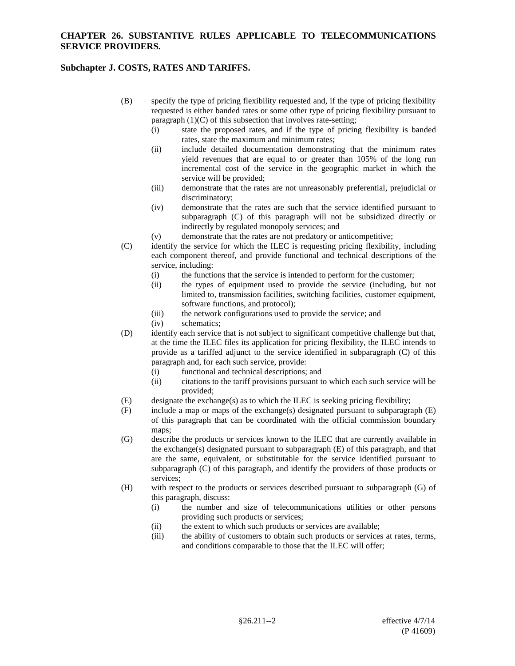## **CHAPTER 26. SUBSTANTIVE RULES APPLICABLE TO TELECOMMUNICATIONS SERVICE PROVIDERS.**

# **Subchapter J. COSTS, RATES AND TARIFFS.**

- (B) specify the type of pricing flexibility requested and, if the type of pricing flexibility requested is either banded rates or some other type of pricing flexibility pursuant to paragraph  $(1)(C)$  of this subsection that involves rate-setting;
	- (i) state the proposed rates, and if the type of pricing flexibility is banded rates, state the maximum and minimum rates;
	- (ii) include detailed documentation demonstrating that the minimum rates yield revenues that are equal to or greater than 105% of the long run incremental cost of the service in the geographic market in which the service will be provided;
	- (iii) demonstrate that the rates are not unreasonably preferential, prejudicial or discriminatory;
	- (iv) demonstrate that the rates are such that the service identified pursuant to subparagraph (C) of this paragraph will not be subsidized directly or indirectly by regulated monopoly services; and
	- (v) demonstrate that the rates are not predatory or anticompetitive;
- (C) identify the service for which the ILEC is requesting pricing flexibility, including each component thereof, and provide functional and technical descriptions of the service, including:
	- (i) the functions that the service is intended to perform for the customer;
	- (ii) the types of equipment used to provide the service (including, but not limited to, transmission facilities, switching facilities, customer equipment, software functions, and protocol);
	- (iii) the network configurations used to provide the service; and
	- (iv) schematics;
- (D) identify each service that is not subject to significant competitive challenge but that, at the time the ILEC files its application for pricing flexibility, the ILEC intends to provide as a tariffed adjunct to the service identified in subparagraph (C) of this paragraph and, for each such service, provide:
	- (i) functional and technical descriptions; and
	- (ii) citations to the tariff provisions pursuant to which each such service will be provided;
- (E) designate the exchange(s) as to which the ILEC is seeking pricing flexibility;
- (F) include a map or maps of the exchange(s) designated pursuant to subparagraph (E) of this paragraph that can be coordinated with the official commission boundary maps;
- (G) describe the products or services known to the ILEC that are currently available in the exchange(s) designated pursuant to subparagraph (E) of this paragraph, and that are the same, equivalent, or substitutable for the service identified pursuant to subparagraph (C) of this paragraph, and identify the providers of those products or services;
- (H) with respect to the products or services described pursuant to subparagraph (G) of this paragraph, discuss:
	- (i) the number and size of telecommunications utilities or other persons providing such products or services;
	- (ii) the extent to which such products or services are available;
	- (iii) the ability of customers to obtain such products or services at rates, terms, and conditions comparable to those that the ILEC will offer;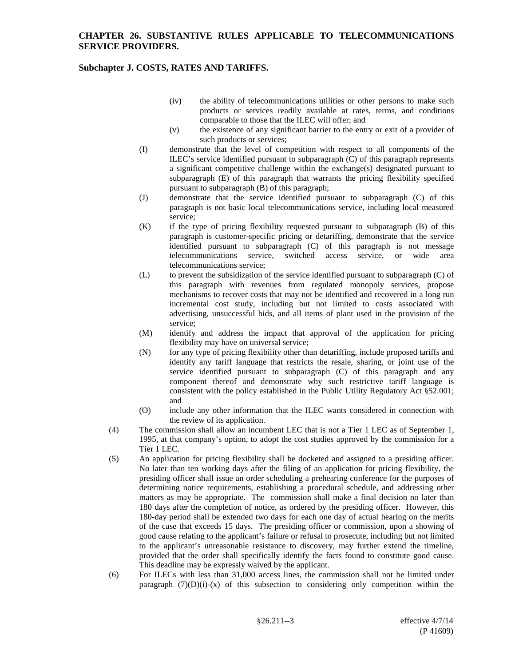# **Subchapter J. COSTS, RATES AND TARIFFS.**

- (iv) the ability of telecommunications utilities or other persons to make such products or services readily available at rates, terms, and conditions comparable to those that the ILEC will offer; and
- (v) the existence of any significant barrier to the entry or exit of a provider of such products or services;
- (I) demonstrate that the level of competition with respect to all components of the ILEC's service identified pursuant to subparagraph (C) of this paragraph represents a significant competitive challenge within the exchange(s) designated pursuant to subparagraph (E) of this paragraph that warrants the pricing flexibility specified pursuant to subparagraph (B) of this paragraph;
- (J) demonstrate that the service identified pursuant to subparagraph (C) of this paragraph is not basic local telecommunications service, including local measured service;
- (K) if the type of pricing flexibility requested pursuant to subparagraph (B) of this paragraph is customer-specific pricing or detariffing, demonstrate that the service identified pursuant to subparagraph (C) of this paragraph is not message telecommunications service, switched access service, or wide area telecommunications service;
- (L) to prevent the subsidization of the service identified pursuant to subparagraph (C) of this paragraph with revenues from regulated monopoly services, propose mechanisms to recover costs that may not be identified and recovered in a long run incremental cost study, including but not limited to costs associated with advertising, unsuccessful bids, and all items of plant used in the provision of the service;
- (M) identify and address the impact that approval of the application for pricing flexibility may have on universal service;
- (N) for any type of pricing flexibility other than detariffing, include proposed tariffs and identify any tariff language that restricts the resale, sharing, or joint use of the service identified pursuant to subparagraph (C) of this paragraph and any component thereof and demonstrate why such restrictive tariff language is consistent with the policy established in the Public Utility Regulatory Act §52.001; and
- (O) include any other information that the ILEC wants considered in connection with the review of its application.
- (4) The commission shall allow an incumbent LEC that is not a Tier 1 LEC as of September 1, 1995, at that company's option, to adopt the cost studies approved by the commission for a Tier 1 LEC.
- (5) An application for pricing flexibility shall be docketed and assigned to a presiding officer. No later than ten working days after the filing of an application for pricing flexibility, the presiding officer shall issue an order scheduling a prehearing conference for the purposes of determining notice requirements, establishing a procedural schedule, and addressing other matters as may be appropriate. The commission shall make a final decision no later than 180 days after the completion of notice, as ordered by the presiding officer. However, this 180-day period shall be extended two days for each one day of actual hearing on the merits of the case that exceeds 15 days. The presiding officer or commission, upon a showing of good cause relating to the applicant's failure or refusal to prosecute, including but not limited to the applicant's unreasonable resistance to discovery, may further extend the timeline, provided that the order shall specifically identify the facts found to constitute good cause. This deadline may be expressly waived by the applicant.
- (6) For ILECs with less than 31,000 access lines, the commission shall not be limited under paragraph  $(7)(D)(i)-(x)$  of this subsection to considering only competition within the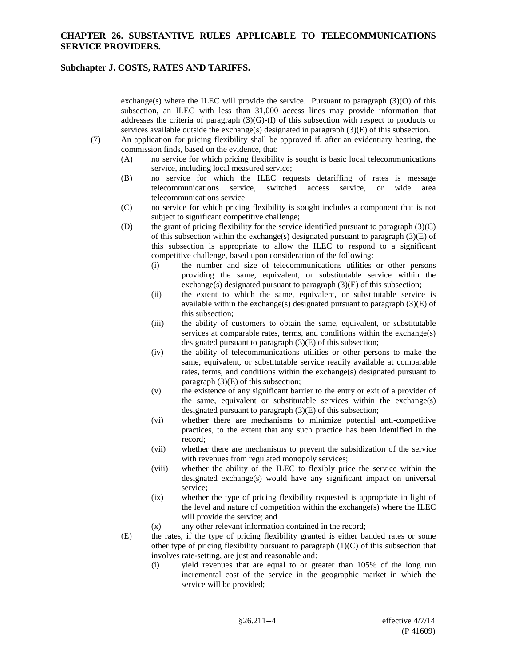## **CHAPTER 26. SUBSTANTIVE RULES APPLICABLE TO TELECOMMUNICATIONS SERVICE PROVIDERS.**

## **Subchapter J. COSTS, RATES AND TARIFFS.**

exchange(s) where the ILEC will provide the service. Pursuant to paragraph  $(3)(O)$  of this subsection, an ILEC with less than 31,000 access lines may provide information that addresses the criteria of paragraph (3)(G)-(I) of this subsection with respect to products or services available outside the exchange(s) designated in paragraph (3)(E) of this subsection.

- (7) An application for pricing flexibility shall be approved if, after an evidentiary hearing, the commission finds, based on the evidence, that:
	- (A) no service for which pricing flexibility is sought is basic local telecommunications service, including local measured service;
	- (B) no service for which the ILEC requests detariffing of rates is message telecommunications service, switched access service, or wide area telecommunications service, switched access service, or wide area telecommunications service
	- (C) no service for which pricing flexibility is sought includes a component that is not subject to significant competitive challenge;
	- (D) the grant of pricing flexibility for the service identified pursuant to paragraph (3)(C) of this subsection within the exchange(s) designated pursuant to paragraph  $(3)(E)$  of this subsection is appropriate to allow the ILEC to respond to a significant competitive challenge, based upon consideration of the following:
		- (i) the number and size of telecommunications utilities or other persons providing the same, equivalent, or substitutable service within the exchange(s) designated pursuant to paragraph (3)(E) of this subsection;
		- (ii) the extent to which the same, equivalent, or substitutable service is available within the exchange(s) designated pursuant to paragraph  $(3)(E)$  of this subsection;
		- (iii) the ability of customers to obtain the same, equivalent, or substitutable services at comparable rates, terms, and conditions within the exchange(s) designated pursuant to paragraph (3)(E) of this subsection;
		- (iv) the ability of telecommunications utilities or other persons to make the same, equivalent, or substitutable service readily available at comparable rates, terms, and conditions within the exchange(s) designated pursuant to paragraph (3)(E) of this subsection;
		- (v) the existence of any significant barrier to the entry or exit of a provider of the same, equivalent or substitutable services within the exchange(s) designated pursuant to paragraph  $(3)(E)$  of this subsection;
		- (vi) whether there are mechanisms to minimize potential anti-competitive practices, to the extent that any such practice has been identified in the record;
		- (vii) whether there are mechanisms to prevent the subsidization of the service with revenues from regulated monopoly services;
		- (viii) whether the ability of the ILEC to flexibly price the service within the designated exchange(s) would have any significant impact on universal service;
		- (ix) whether the type of pricing flexibility requested is appropriate in light of the level and nature of competition within the exchange(s) where the ILEC will provide the service; and
		- (x) any other relevant information contained in the record;
	- (E) the rates, if the type of pricing flexibility granted is either banded rates or some other type of pricing flexibility pursuant to paragraph  $(1)(C)$  of this subsection that involves rate-setting, are just and reasonable and:
		- (i) yield revenues that are equal to or greater than 105% of the long run incremental cost of the service in the geographic market in which the service will be provided;